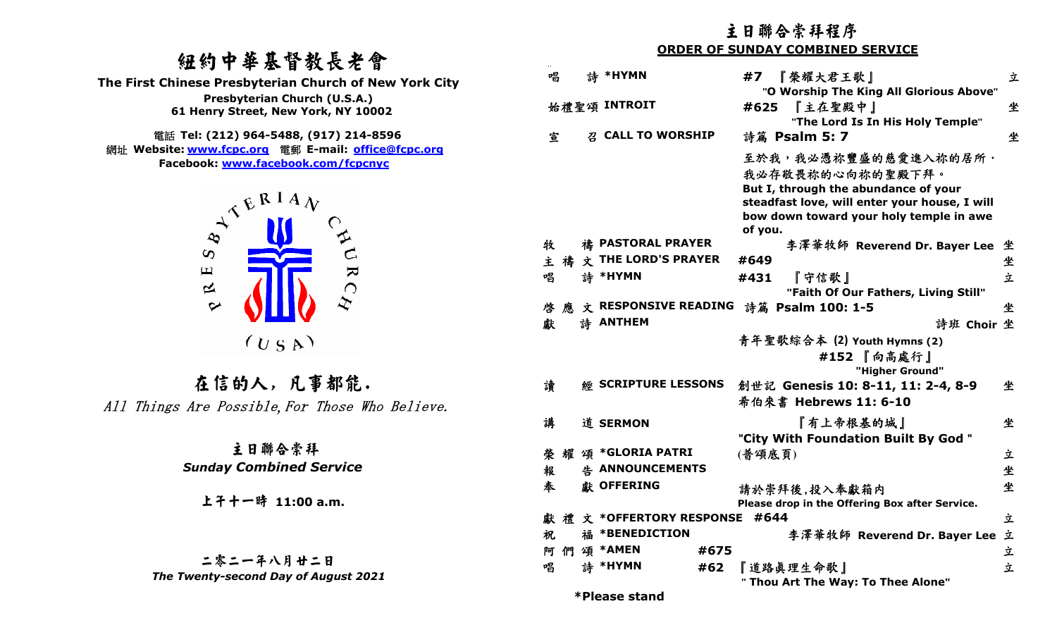# 紐約中華基督教長老會



|                                                                                                                                                         | 主日聯合崇拜程序                                                                                                                                                                                |        |  |  |  |
|---------------------------------------------------------------------------------------------------------------------------------------------------------|-----------------------------------------------------------------------------------------------------------------------------------------------------------------------------------------|--------|--|--|--|
|                                                                                                                                                         | <b>ORDER OF SUNDAY COMBINED SERVICE</b>                                                                                                                                                 |        |  |  |  |
| 纽约中華基督教長老會<br>The First Chinese Presbyterian Church of New York City<br>Presbyterian Church (U.S.A.)                                                    | 詩 *HYMN<br>唱<br>#7<br>『榮耀大君王歌』<br>"O Worship The King All Glorious Above"<br>始禮聖頌 INTROIT<br>『主在聖殿中』<br>#625                                                                            | 立<br>坐 |  |  |  |
| 61 Henry Street, New York, NY 10002                                                                                                                     | "The Lord Is In His Holy Temple"                                                                                                                                                        |        |  |  |  |
| 電話 Tel: (212) 964-5488, (917) 214-8596                                                                                                                  | <b>Z CALL TO WORSHIP</b><br>宣<br>詩篇 Psalm 5: 7                                                                                                                                          | 坐      |  |  |  |
| 網址 Website: www.fcpc.org 電郵 E-mail: office@fcpc.org<br>Facebook: www.facebook.com/fcpcnyc<br>$A^{\mathcal{L}^{\mathcal{L}^{\mathcal{R}}} \mathbf{1} A}$ | 至於我,我必憑祢豐盛的慈愛進入祢的居所·<br>我必存敬畏祢的心向祢的聖殿下拜。<br>But I, through the abundance of your<br>steadfast love, will enter your house, I will<br>bow down toward your holy temple in awe<br>of you. |        |  |  |  |
| $\infty$                                                                                                                                                | 禱 PASTORAL PRAYER<br>牧<br>李澤華牧師 Reverend Dr. Bayer Lee 坐                                                                                                                                |        |  |  |  |
|                                                                                                                                                         | <b>THE LORD'S PRAYER</b><br>#649<br>主<br>禱                                                                                                                                              | 坐      |  |  |  |
| URC<br>$\boxed{\phantom{1}}$<br>$\approx$                                                                                                               | 唱<br><b>计 *HYMN</b><br>『守信歌』<br>#431<br>"Faith Of Our Fathers, Living Still"                                                                                                            | 立      |  |  |  |
| $\sim$                                                                                                                                                  | 應 文 RESPONSIVE READING<br>詩篇 Psalm 100: 1-5<br>啓                                                                                                                                        | 坐      |  |  |  |
|                                                                                                                                                         | 詩 ANTHEM<br>獻<br>詩班 Choir 坐                                                                                                                                                             |        |  |  |  |
| (U S A)                                                                                                                                                 | 青年聖歌綜合本 (2) Youth Hymns (2)<br>#152 『向高處行』<br>"Higher Ground"                                                                                                                           |        |  |  |  |
| 在信的人,凡事都能.                                                                                                                                              | 讀<br><b>SCRIPTURE LESSONS</b><br>創世記 Genesis 10: 8-11, 11: 2-4, 8-9                                                                                                                     | 坐      |  |  |  |
| All Things Are Possible, For Those Who Believe.                                                                                                         | 希伯來書 Hebrews 11: 6-10                                                                                                                                                                   |        |  |  |  |
|                                                                                                                                                         | 講<br>『有上帝根基的城』<br>道 SERMON<br>"City With Foundation Built By God"                                                                                                                       | 坐      |  |  |  |
| 主日聯合崇拜                                                                                                                                                  | 頌 *GLORIA PATRI<br>榮<br>(普頌底頁)<br>耀                                                                                                                                                     | 立      |  |  |  |
| <b>Sunday Combined Service</b>                                                                                                                          | A ANNOUNCEMENTS<br>報                                                                                                                                                                    | 坐      |  |  |  |
| 上午十一時 11:00 a.m.                                                                                                                                        | 奉<br>獻 OFFERING<br>請於崇拜後,投入奉獻箱内<br>Please drop in the Offering Box after Service.                                                                                                       | 坐      |  |  |  |
|                                                                                                                                                         | 文 *OFFERTORY RESPONSE #644<br>獻<br>稩                                                                                                                                                    | 立      |  |  |  |
|                                                                                                                                                         | 福 *BENEDICTION<br>李澤華牧師 Reverend Dr. Bayer Lee 立<br>祝                                                                                                                                   |        |  |  |  |
|                                                                                                                                                         | 們 頌 *AMEN<br>#675<br>阿                                                                                                                                                                  | 立      |  |  |  |
| 二零二一年八月廿二日                                                                                                                                              | 詩 *HYMN<br>唱<br>『道路眞理生命歌』<br>#62                                                                                                                                                        | 立      |  |  |  |
| The Twenty-second Day of August 2021                                                                                                                    | " Thou Art The Way: To Thee Alone"<br>*Please stand                                                                                                                                     |        |  |  |  |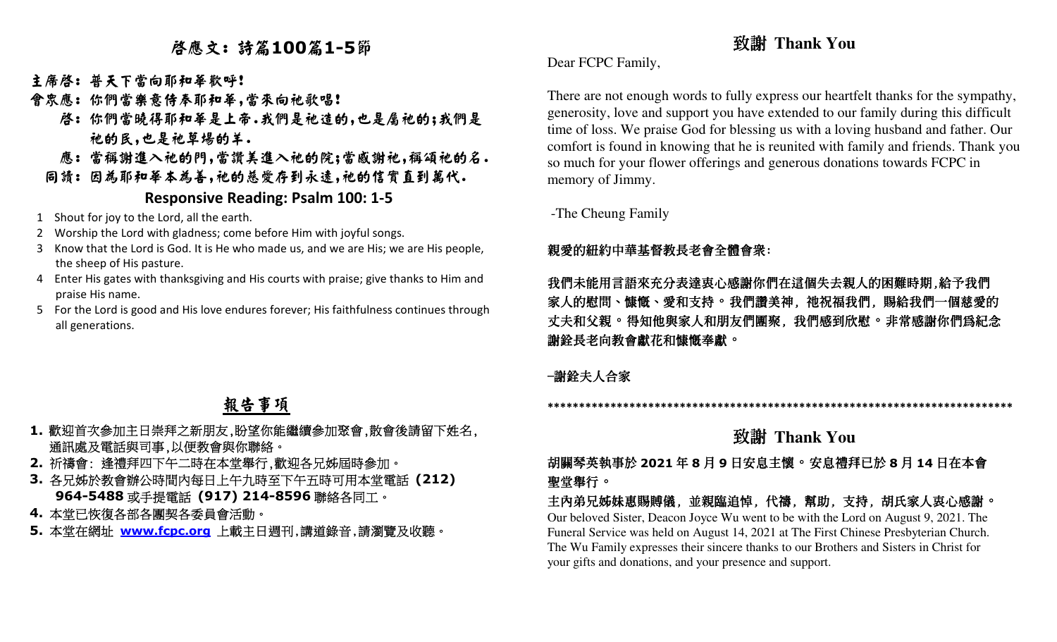# 啟應文: 詩篇**<sup>100</sup>**篇**1-5**節

- 主席啓: 普天下當向耶和華歡呼!
- 會眾應: 你們當樂意侍奉耶和華,當來向祂歌唱!
- 啟: 你們當曉得耶和華是上帝.我們是祂造的,也是屬祂的;我們是 祂的民,也是祂草場的羊.
- 應: 當稱謝進入祂的門,當讚美進入祂的院;當感謝祂,稱頌祂的名.
	- 同讀: 因為耶和華本為善,祂的慈愛存到永遠,祂的信實直到萬代.

#### **Responsive Reading: Psalm 100: 1-5**

- 1 Shout for joy to the Lord, all the earth.
- 2 Worship the Lord with gladness; come before Him with joyful songs.
- 3 Know that the Lord is God. It is He who made us, and we are His; we are His people, the sheep of His pasture.
- 4 Enter His gates with thanksgiving and His courts with praise; give thanks to Him and praise His name.
- 5 For the Lord is good and His love endures forever; His faithfulness continues through all generations.

# 報告事項

- **1.**歡迎首次參加主日崇拜之新朋友,盼望你能繼續參加聚會,散會後請留下姓名, 通訊處及電話與司事,以便教會與你聯絡。
- **2.** 祈禱會: 逢禮拜四下午二時在本堂舉行,歡迎各兄姊屆時參加。
- **3.** 各兄姊於教會辦公時間內每日上午九時至下午五時可用本堂電話 **(212) 964-5488**或手提電話 **(917) 214-8596**聯絡各同工。
- **4.** 本堂已恢復各部各團契各委員會活動。
- **5.** 本堂在網址 **www.fcpc.org** 上載主日週刊,講道錄音,請瀏覽及收聽。

# 致謝 **Thank You**

Dear FCPC Family,

There are not enough words to fully express our heartfelt thanks for the sympathy, generosity, love and support you have extended to our family during this difficult time of loss. We praise God for blessing us with a loving husband and father. Our comfort is found in knowing that he is reunited with family and friends. Thank you so much for your flower offerings and generous donations towards FCPC in memory of Jimmy.

-The Cheung Family

### 親愛的紐約中華基督教長老會全體會眾:

### 我們未能用言語來充分表達衷心感謝你們在這個失去親人的困難時期,給予我們 家人的慰問、慷慨、愛和支持。 我們讚美神, 祂祝福我們, 賜給我們一個慈愛的 」 丈夫和父親。得知他與家人和朋友們團聚, 我們感到欣慰。非常感謝你們為紀念 謝銓長老向教會獻花和慷慨奉獻。

### -謝銓夫人合家

**\*\*\*\*\*\*\*\*\*\*\*\*\*\*\*\*\*\*\*\*\*\*\*\*\*\*\*\*\*\*\*\*\*\*\*\*\*\*\*\*\*\*\*\*\*\*\*\*\*\*\*\*\*\*\*\*\*\*\*\*\*\*\*\*\*\*\*\*\*\*\*\*\*\*** 

# 致謝 **Thank You**

 胡關琴英執事於 **<sup>2021</sup>** 年**8**月**9**日安息主懷。安息禮拜已於**8**月 **<sup>14</sup>** 日在本會 聖堂舉行。

 主內弟兄姊妹惠賜賻儀, 並親臨追悼, 代禱, 幫助, 支持, 胡氏家人衷心感謝。 Our beloved Sister, Deacon Joyce Wu went to be with the Lord on August 9, 2021. The Funeral Service was held on August 14, 2021 at The First Chinese Presbyterian Church. The Wu Family expresses their sincere thanks to our Brothers and Sisters in Christ for your gifts and donations, and your presence and support.